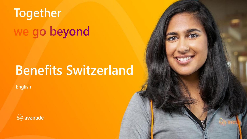# Together we go beyond

# **Benefits Switzerland**

English

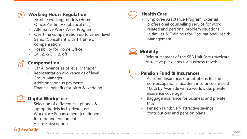## **Working Hours Regulation**

- Flexible working models (Home Office/Parttime/Sabbatical etc.)
- Alternative Work Week Program
- Overtime compensation up to career level Senior Consultant with 1:1 time off compensation
- **Possibility for Home Office**
- 24.12. & 31.12. off

#### **Compensation**

- Car Allowance as of level Manager
- Representation allowance as of level Group Manager
- Additional bonus payments
- Financial benefits for birth & wedding

#### **Digital Workplace**

- Selection of different cell phones & laptop models incl. private use
- Workplace Enhancement (contingent for ordering equipment)
- **Azure Subscription**

#### ranade



#### **Health Care**

- Employee Assistance Program: External, professional counselling service for work related and personal problem situations
- Initiatives & Trainings for Occupational Health Management

### **Mobility**

- Reimbursement of the SBB Half Fare travelcard
- Attractive per diems for business travels



#### **Pension Fund & Insurances**

- Accident Insurance: Contributions for the non-occupational accident insurance are paid 100% by Avanade with a worldwide, private insurance coverage
- Baggage insurance for business and private trips
- Pension Fund: Very attractive savings contributions and pension plans

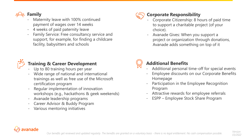

### Maternity leave with 100% continued

- payment of wages over 14 weeks
- 4 weeks of paid paternity leave
- Family Service: Free consultancy service and support, for example, for finding a childcare facility, babysitters and schools



#### **Corporate Responsibility**

- Corporate Citizenship: 8 hours of paid time to support a charitable project (of your choice).
- Avanade Gives: When you support a project or organization through donations, Avanade adds something on top of it



#### **Training & Career Development**

- Up to 80 training hours per year
- Wide range of national and international trainings as well as free use of the Microsoft certification program
- Regular implementation of innovation workshops (e.g., hackathons & geek weekends)
- Avanade leadership programs
- Career Advisor & Buddy Program
- Various mentoring initiatives



#### **Additional Benefits**

- Additional personal time-off for special events
- Employee discounts on our Corporate Benefits Homepage
- Participation in the Employee Recognition Program
- Attractive rewards for employee referrals
- ESPP Employee Stock Share Program